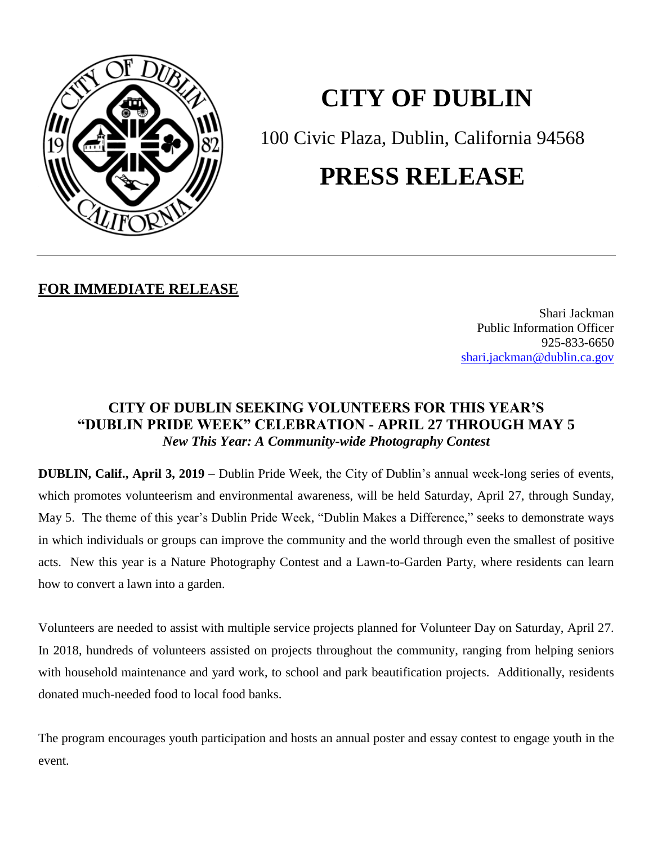

# **CITY OF DUBLIN**

100 Civic Plaza, Dublin, California 94568

## **PRESS RELEASE**

## **FOR IMMEDIATE RELEASE**

Shari Jackman Public Information Officer 925-833-6650 [shari.jackman@dublin.ca.gov](mailto:shari.jackman@dublin.ca.gov)

## **CITY OF DUBLIN SEEKING VOLUNTEERS FOR THIS YEAR'S "DUBLIN PRIDE WEEK" CELEBRATION - APRIL 27 THROUGH MAY 5** *New This Year: A Community-wide Photography Contest*

**DUBLIN, Calif., April 3, 2019** – Dublin Pride Week, the City of Dublin's annual week-long series of events, which promotes volunteerism and environmental awareness, will be held Saturday, April 27, through Sunday, May 5. The theme of this year's Dublin Pride Week, "Dublin Makes a Difference," seeks to demonstrate ways in which individuals or groups can improve the community and the world through even the smallest of positive acts. New this year is a Nature Photography Contest and a Lawn-to-Garden Party, where residents can learn how to convert a lawn into a garden.

Volunteers are needed to assist with multiple service projects planned for Volunteer Day on Saturday, April 27. In 2018, hundreds of volunteers assisted on projects throughout the community, ranging from helping seniors with household maintenance and yard work, to school and park beautification projects. Additionally, residents donated much-needed food to local food banks.

The program encourages youth participation and hosts an annual poster and essay contest to engage youth in the event.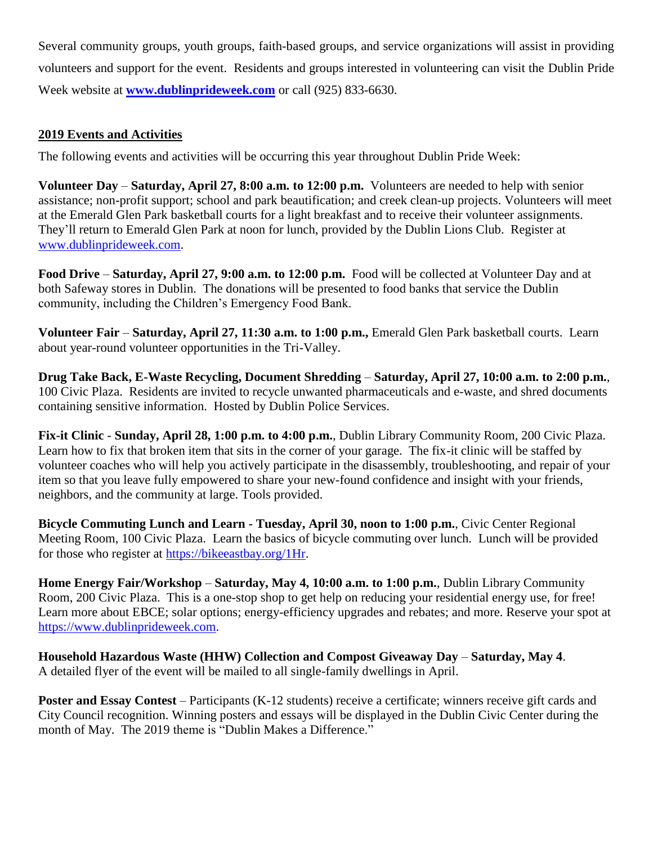Several community groups, youth groups, faith-based groups, and service organizations will assist in providing volunteers and support for the event. Residents and groups interested in volunteering can visit the Dublin Pride Week website at **[www.dublinprideweek.com](http://www.dublinprideweek.com/)** or call (925) 833-6630.

### **2019 Events and Activities**

The following events and activities will be occurring this year throughout Dublin Pride Week:

**Volunteer Day** – **Saturday, April 27, 8:00 a.m. to 12:00 p.m.** Volunteers are needed to help with senior assistance; non-profit support; school and park beautification; and creek clean-up projects. Volunteers will meet at the Emerald Glen Park basketball courts for a light breakfast and to receive their volunteer assignments. They'll return to Emerald Glen Park at noon for lunch, provided by the Dublin Lions Club. Register at [www.dublinprideweek.com.](http://www.dublinprideweek.com/)

**Food Drive** – **Saturday, April 27, 9:00 a.m. to 12:00 p.m.** Food will be collected at Volunteer Day and at both Safeway stores in Dublin. The donations will be presented to food banks that service the Dublin community, including the Children's Emergency Food Bank.

**Volunteer Fair** – **Saturday, April 27, 11:30 a.m. to 1:00 p.m.,** Emerald Glen Park basketball courts. Learn about year-round volunteer opportunities in the Tri-Valley.

**Drug Take Back, E-Waste Recycling, Document Shredding** – **Saturday, April 27, 10:00 a.m. to 2:00 p.m.**, 100 Civic Plaza. Residents are invited to recycle unwanted pharmaceuticals and e-waste, and shred documents containing sensitive information. Hosted by Dublin Police Services.

**Fix-it Clinic** - **Sunday, April 28, 1:00 p.m. to 4:00 p.m.**, Dublin Library Community Room, 200 Civic Plaza. Learn how to fix that broken item that sits in the corner of your garage. The fix-it clinic will be staffed by volunteer coaches who will help you actively participate in the disassembly, troubleshooting, and repair of your item so that you leave fully empowered to share your new-found confidence and insight with your friends, neighbors, and the community at large. Tools provided.

**Bicycle Commuting Lunch and Learn - Tuesday, April 30, noon to 1:00 p.m.**, Civic Center Regional Meeting Room, 100 Civic Plaza. Learn the basics of bicycle commuting over lunch. Lunch will be provided for those who register at [https://bikeeastbay.org/1Hr.](https://bikeeastbay.org/1Hr)

**Home Energy Fair/Workshop** – **Saturday, May 4, 10:00 a.m. to 1:00 p.m.**, Dublin Library Community Room, 200 Civic Plaza. This is a one-stop shop to get help on reducing your residential energy use, for free! Learn more about EBCE; solar options; energy-efficiency upgrades and rebates; and more. Reserve your spot at [https://www.dublinprideweek.com.](file:///C:/Users/kathys/AppData/Local/Microsoft/Windows/INetCache/Content.Outlook/7WNH94O5/www.dublinprideweek.com)

**Household Hazardous Waste (HHW) Collection and Compost Giveaway Day** – **Saturday, May 4**. A detailed flyer of the event will be mailed to all single-family dwellings in April.

**Poster and Essay Contest** – Participants (K-12 students) receive a certificate; winners receive gift cards and City Council recognition. Winning posters and essays will be displayed in the Dublin Civic Center during the month of May. The 2019 theme is "Dublin Makes a Difference."